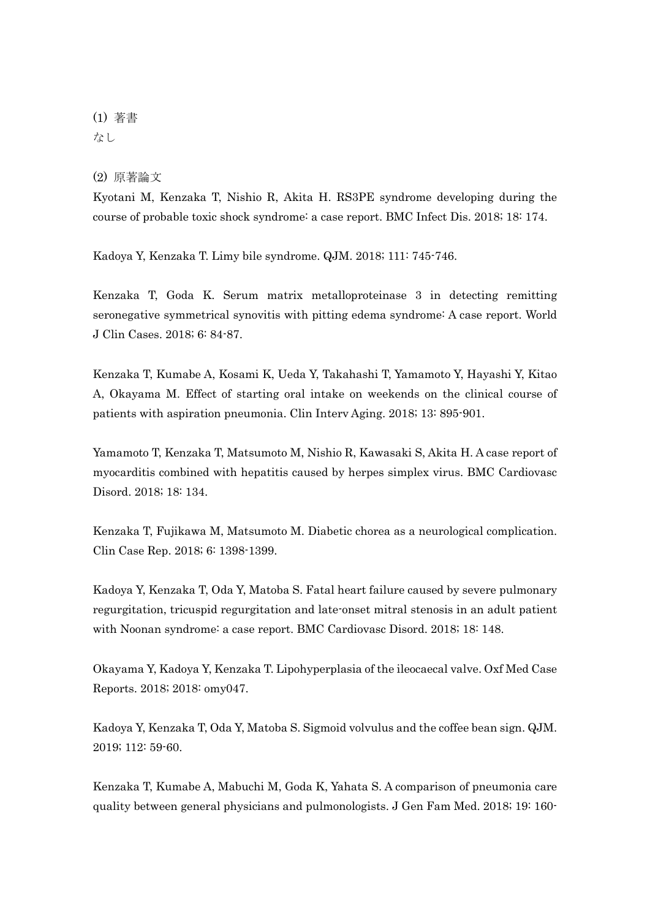## (1) 著書 なし

(2) 原著論文

Kyotani M, Kenzaka T, Nishio R, Akita H. RS3PE syndrome developing during the course of probable toxic shock syndrome: a case report. BMC Infect Dis. 2018; 18: 174.

Kadoya Y, Kenzaka T. Limy bile syndrome. QJM. 2018; 111: 745-746.

Kenzaka T, Goda K. Serum matrix metalloproteinase 3 in detecting remitting seronegative symmetrical synovitis with pitting edema syndrome: A case report. World J Clin Cases. 2018; 6: 84-87.

Kenzaka T, Kumabe A, Kosami K, Ueda Y, Takahashi T, Yamamoto Y, Hayashi Y, Kitao A, Okayama M. Effect of starting oral intake on weekends on the clinical course of patients with aspiration pneumonia. Clin Interv Aging. 2018; 13: 895-901.

Yamamoto T, Kenzaka T, Matsumoto M, Nishio R, Kawasaki S, Akita H. A case report of myocarditis combined with hepatitis caused by herpes simplex virus. BMC Cardiovasc Disord. 2018; 18: 134.

Kenzaka T, Fujikawa M, Matsumoto M. Diabetic chorea as a neurological complication. Clin Case Rep. 2018; 6: 1398-1399.

Kadoya Y, Kenzaka T, Oda Y, Matoba S. Fatal heart failure caused by severe pulmonary regurgitation, tricuspid regurgitation and late-onset mitral stenosis in an adult patient with Noonan syndrome: a case report. BMC Cardiovasc Disord. 2018; 18: 148.

Okayama Y, Kadoya Y, Kenzaka T. Lipohyperplasia of the ileocaecal valve. Oxf Med Case Reports. 2018; 2018: omy047.

Kadoya Y, Kenzaka T, Oda Y, Matoba S. Sigmoid volvulus and the coffee bean sign. QJM. 2019; 112: 59-60.

Kenzaka T, Kumabe A, Mabuchi M, Goda K, Yahata S. A comparison of pneumonia care quality between general physicians and pulmonologists. J Gen Fam Med. 2018; 19: 160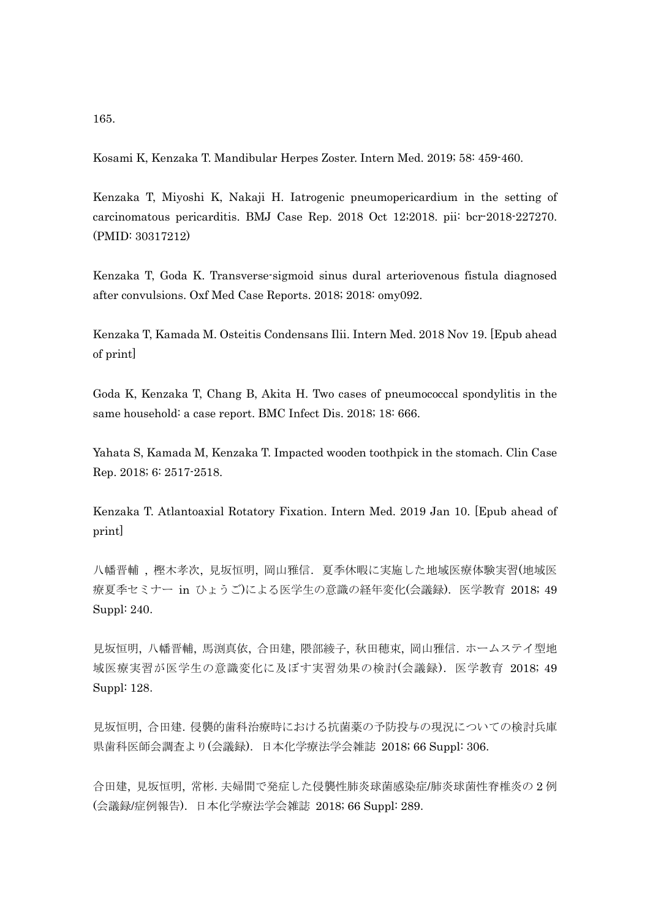165.

Kosami K, Kenzaka T. Mandibular Herpes Zoster. Intern Med. 2019; 58: 459-460.

Kenzaka T, Miyoshi K, Nakaji H. Iatrogenic pneumopericardium in the setting of carcinomatous pericarditis. BMJ Case Rep. 2018 Oct 12;2018. pii: bcr-2018-227270. (PMID: 30317212)

Kenzaka T, Goda K. Transverse-sigmoid sinus dural arteriovenous fistula diagnosed after convulsions. Oxf Med Case Reports. 2018; 2018: omy092.

Kenzaka T, Kamada M. Osteitis Condensans Ilii. Intern Med. 2018 Nov 19. [Epub ahead of print]

Goda K, Kenzaka T, Chang B, Akita H. Two cases of pneumococcal spondylitis in the same household: a case report. BMC Infect Dis. 2018; 18: 666.

Yahata S, Kamada M, Kenzaka T. Impacted wooden toothpick in the stomach. Clin Case Rep. 2018; 6: 2517-2518.

Kenzaka T. Atlantoaxial Rotatory Fixation. Intern Med. 2019 Jan 10. [Epub ahead of print]

八幡晋輔 , 樫木孝次, 見坂恒明, 岡山雅信.夏季休暇に実施した地域医療体験実習(地域医 療夏季セミナー in ひょうご)による医学生の意識の経年変化(会議録). 医学教育 2018; 49 Suppl: 240.

見坂恒明, 八幡晋輔, 馬渕真依, 合田建, 隈部綾子, 秋田穂束, 岡山雅信.ホームステイ型地 域医療実習が医学生の意識変化に及ぼす実習効果の検討(会議録).医学教育 2018; 49 Suppl: 128.

見坂恒明, 合田建.侵襲的歯科治療時における抗菌薬の予防投与の現況についての検討兵庫 県歯科医師会調査より(会議録).日本化学療法学会雑誌 2018; 66 Suppl: 306.

合田建, 見坂恒明, 常彬.夫婦間で発症した侵襲性肺炎球菌感染症/肺炎球菌性脊椎炎の 2 例 (会議録/症例報告).日本化学療法学会雑誌 2018; 66 Suppl: 289.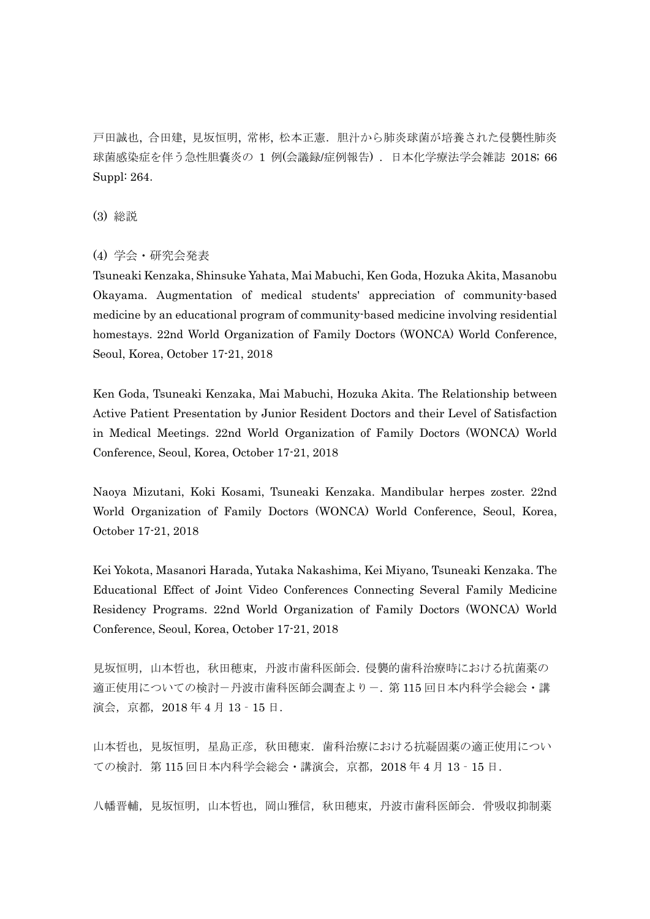戸田誠也, 合田建, 見坂恒明, 常彬, 松本正憲.胆汁から肺炎球菌が培養された侵襲性肺炎 球菌感染症を伴う急性胆嚢炎の 1 例(会議録/症例報告) .日本化学療法学会雑誌 2018; 66 Suppl: 264.

(3) 総説

(4) 学会・研究会発表

Tsuneaki Kenzaka, Shinsuke Yahata, Mai Mabuchi, Ken Goda, Hozuka Akita, Masanobu Okayama. Augmentation of medical students' appreciation of community-based medicine by an educational program of community-based medicine involving residential homestays. 22nd World Organization of Family Doctors (WONCA) World Conference, Seoul, Korea, October 17-21, 2018

Ken Goda, Tsuneaki Kenzaka, Mai Mabuchi, Hozuka Akita. The Relationship between Active Patient Presentation by Junior Resident Doctors and their Level of Satisfaction in Medical Meetings. 22nd World Organization of Family Doctors (WONCA) World Conference, Seoul, Korea, October 17-21, 2018

Naoya Mizutani, Koki Kosami, Tsuneaki Kenzaka. Mandibular herpes zoster. 22nd World Organization of Family Doctors (WONCA) World Conference, Seoul, Korea, October 17-21, 2018

Kei Yokota, Masanori Harada, Yutaka Nakashima, Kei Miyano, Tsuneaki Kenzaka. The Educational Effect of Joint Video Conferences Connecting Several Family Medicine Residency Programs. 22nd World Organization of Family Doctors (WONCA) World Conference, Seoul, Korea, October 17-21, 2018

見坂恒明,山本哲也,秋田穂束,丹波市歯科医師会.侵襲的歯科治療時における抗菌薬の 適正使用についての検討-丹波市歯科医師会調査より-. 第 115 回日本内科学会総会・講 演会,京都,2018 年 4 月 13‐15 日.

山本哲也, 見坂恒明, 星島正彦, 秋田穂束. 歯科治療における抗凝固薬の適正使用につい ての検討.第 115 回日本内科学会総会・講演会,京都,2018 年 4 月 13‐15 日.

八幡晋輔, 見坂恒明, 山本哲也, 岡山雅信, 秋田穂束, 丹波市歯科医師会. 骨吸収抑制薬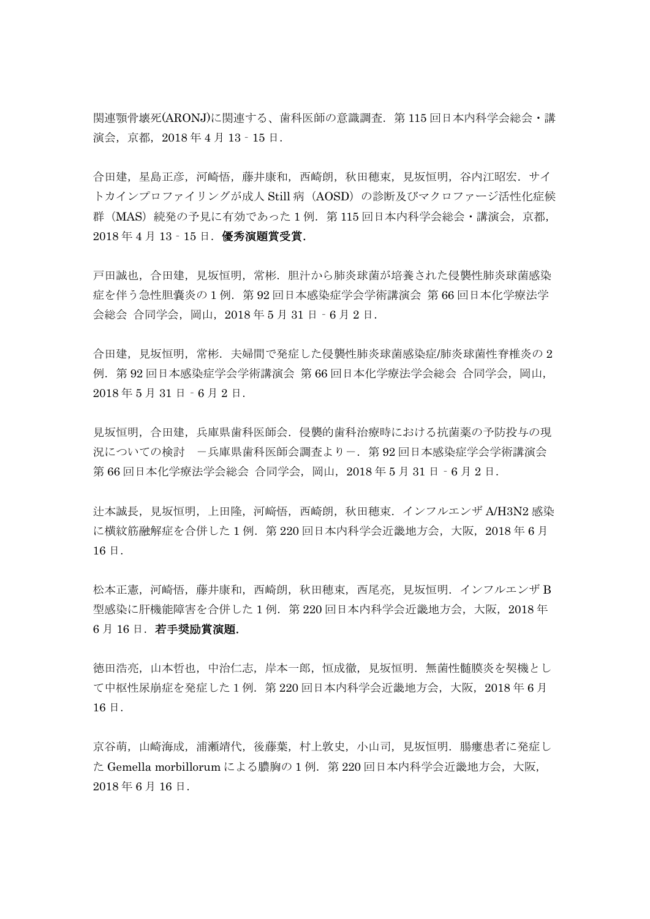関連顎骨壊死(ARONJ)に関連する、歯科医師の意識調査. 第 115 回日本内科学会総会·講 演会,京都,2018 年 4 月 13‐15 日.

合田建,星島正彦,河崎悟,藤井康和,西崎朗,秋田穂束,見坂恒明,谷内江昭宏.サイ トカインプロファイリングが成人 Still 病 (AOSD)の診断及びマクロファージ活性化症候 群 (MAS) 続発の予見に有効であった1例. 第115回日本内科学会総会·講演会, 京都, 2018 年 4 月 13‐15 日.優秀演題賞受賞.

戸田誠也,合田建,見坂恒明,常彬.胆汁から肺炎球菌が培養された侵襲性肺炎球菌感染 症を伴う急性胆嚢炎の1例. 第92回日本感染症学会学術講演会 第66回日本化学療法学 会総会 合同学会,岡山,2018 年 5 月 31 日‐6 月 2 日.

合田建,見坂恒明,常彬.夫婦間で発症した侵襲性肺炎球菌感染症/肺炎球菌性脊椎炎の 2 例.第 92 回日本感染症学会学術講演会 第 66 回日本化学療法学会総会 合同学会,岡山, 2018 年 5 月 31 日‐6 月 2 日.

見坂恒明,合田建,兵庫県歯科医師会.侵襲的歯科治療時における抗菌薬の予防投与の現 況についての検討 -兵庫県歯科医師会調査よりー. 第92回日本感染症学会学術講演会 第 66 回日本化学療法学会総会 合同学会, 岡山, 2018 年 5 月 31 日 - 6 月 2 日.

汁本誠長, 見坂恒明, 上田隆, 河﨑悟, 西崎朗, 秋田穂束. インフルエンザ A/H3N2 感染 に横紋筋融解症を合併した1例. 第220回日本内科学会近畿地方会,大阪, 2018年6月 16 日.

松本正憲,河崎悟,藤井康和,西崎朗,秋田穂束,西尾亮,見坂恒明.インフルエンザ B 型感染に肝機能障害を合併した 1 例.第 220 回日本内科学会近畿地方会,大阪,2018 年 6月16日. 若手奨励賞演題.

徳田浩亮,山本哲也,中治仁志,岸本一郎,恒成徹,見坂恒明.無菌性髄膜炎を契機とし て中枢性尿崩症を発症した1例.第 220 回日本内科学会近畿地方会,大阪,2018 年 6 月 16 日.

京谷萌,山崎海成,浦瀬靖代,後藤葉,村上敦史,小山司,見坂恒明.腸瘻患者に発症し た Gemella morbillorum による膿胸の 1 例. 第 220 回日本内科学会近畿地方会, 大阪, 2018 年 6 月 16 日.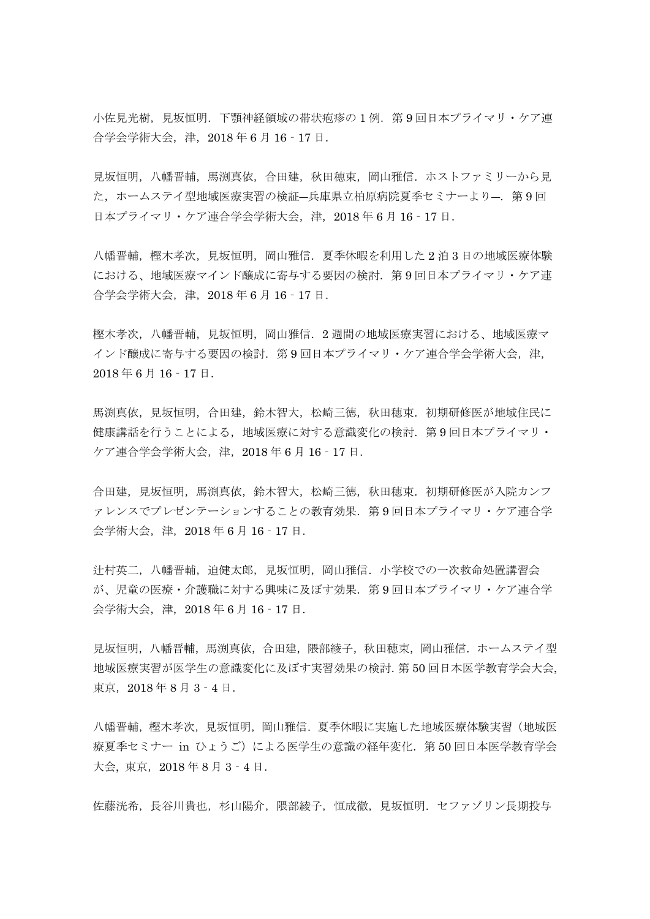小佐見光樹,見坂恒明.下顎神経領域の帯状疱疹の1例. 第9回日本プライマリ・ケア連 合学会学術大会,津,2018 年 6 月 16‐17 日.

見坂恒明,八幡晋輔,馬渕真依,合田建,秋田穂束,岡山雅信.ホストファミリーから見 た、ホームステイ型地域医療実習の検証–兵庫県立柏原病院夏季セミナーより–. 第9回 日本プライマリ・ケア連合学会学術大会,津, 2018年6月16 - 17日.

八幡晋輔,樫木孝次,見坂恒明,岡山雅信.夏季休暇を利用した 2 泊 3 日の地域医療体験 における、地域医療マインド醸成に寄与する要因の検討.第 9 回日本プライマリ・ケア連 合学会学術大会,津,2018 年 6 月 16‐17 日.

樫木孝次,八幡晋輔,見坂恒明,岡山雅信.2 週間の地域医療実習における、地域医療マ インド醸成に寄与する要因の検討. 第9回日本プライマリ・ケア連合学会学術大会,津, 2018 年 6 月 16‐17 日.

馬渕真依, 見坂恒明, 合田建, 鈴木智大, 松崎三徳, 秋田穂束, 初期研修医が地域住民に 健康講話を行うことによる,地域医療に対する意識変化の検討.第 9 回日本プライマリ・ ケア連合学会学術大会,津,2018 年 6 月 16‐17 日.

合田建,見坂恒明,馬渕真依,鈴木智大,松崎三徳,秋田穂束.初期研修医が入院カンフ ァレンスでプレゼンテーションすることの教育効果.第 9 回日本プライマリ・ケア連合学 会学術大会,津,2018 年 6 月 16‐17 日.

辻村英二,八幡晋輔,迫健太郎,見坂恒明,岡山雅信.小学校での一次救命処置講習会 が、児童の医療・介護職に対する興味に及ぼす効果.第 9 回日本プライマリ・ケア連合学 会学術大会,津,2018 年 6 月 16‐17 日.

見坂恒明,八幡晋輔,馬渕真依,合田建,隈部綾子,秋田穂束,岡山雅信.ホームステイ型 地域医療実習が医学生の意識変化に及ぼす実習効果の検討.第 50 回日本医学教育学会大会, 東京, 2018年8月3-4日.

八幡晋輔,樫木孝次,見坂恒明,岡山雅信.夏季休暇に実施した地域医療体験実習(地域医 療夏季セミナー in ひょうご)による医学生の意識の経年変化. 第50回日本医学教育学会 大会, 東京,2018 年 8 月 3‐4 日.

佐藤洸希,長谷川貴也,杉山陽介,隈部綾子,恒成徹,見坂恒明.セファゾリン長期投与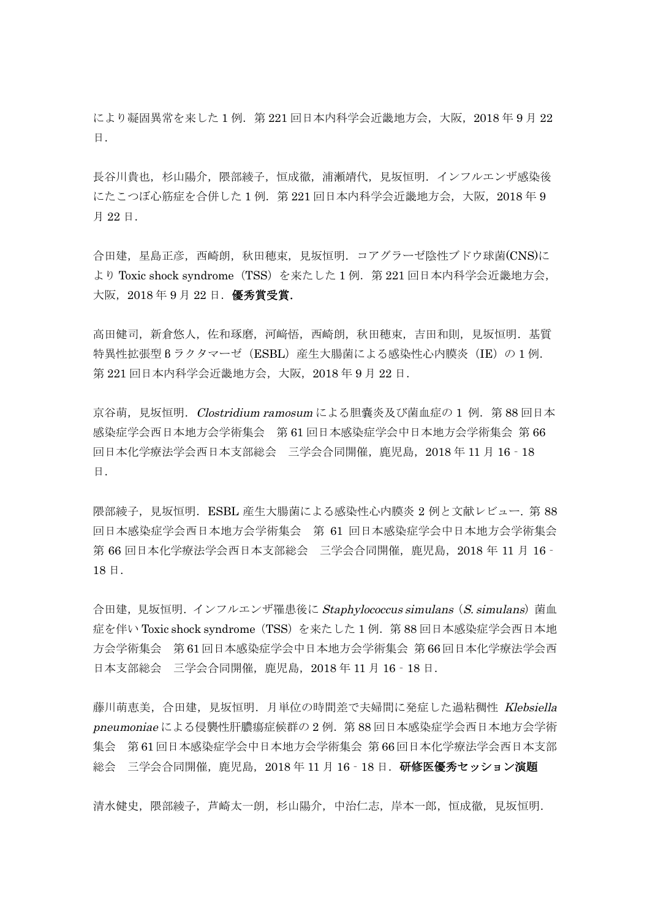により凝固異常を来した1例. 第221回日本内科学会近畿地方会,大阪, 2018年9月22 日.

長谷川貴也,杉山陽介,隈部綾子,恒成徹,浦瀬靖代,見坂恒明.インフルエンザ感染後 にたこつぼ心筋症を合併した1例. 第221回日本内科学会近畿地方会,大阪,2018年9 月 22 日.

合田建,星島正彦,西崎朗,秋田穂束,見坂恒明.コアグラーゼ陰性ブドウ球菌(CNS)に より Toxic shock syndrome (TSS) を来たした1例. 第 221 回日本内科学会近畿地方会, 大阪, 2018年 9月 22日. 優秀賞受賞.

高田健司,新有悠人,佐和琢磨,河﨑悟,西崎朗,秋田穂束,吉田和則,見坂恒明. 基質 特異性拡張型 β ラクタマーゼ (ESBL)産生大腸菌による感染性心内膜炎 (IE)の1例. 第 221 回日本内科学会近畿地方会,大阪,2018 年 9 月 22 日.

京谷萌, 見坂恒明. Clostridium ramosum による胆嚢炎及び菌血症の 1 例. 第88回日本 感染症学会西日本地方会学術集会 第 61 回日本感染症学会中日本地方会学術集会 第 66 回日本化学療法学会西日本支部総会 三学会合同開催,鹿児島,2018 年 11 月 16‐18 日.

隈部綾子, 見坂恒明. ESBL 産生大腸菌による感染性心内膜炎 2 例と文献レビュー. 第 88 回日本感染症学会西日本地方会学術集会 第 61 回日本感染症学会中日本地方会学術集会 第 66 回日本化学療法学会西日本支部総会 三学会合同開催, 鹿児島, 2018 年 11 月 16 -18 日.

合田建, 見坂恒明. インフルエンザ罹患後に Staphylococcus simulans (S. simulans) 菌血 症を伴い Toxic shock syndrome(TSS)を来たした 1 例.第 88 回日本感染症学会西日本地 方会学術集会 第 61 回日本感染症学会中日本地方会学術集会 第 66 回日本化学療法学会西 日本支部総会 三学会合同開催,鹿児島,2018 年 11 月 16‐18 日.

藤川萌恵美,合田建,見坂恒明.月単位の時間差で夫婦間に発症した過粘稠性 Klebsiella pneumoniae による侵襲性肝膿瘍症候群の 2 例.第 88 回日本感染症学会西日本地方会学術 集会 第 61 回日本感染症学会中日本地方会学術集会 第 66 回日本化学療法学会西日本支部 総会 三学会合同開催, 鹿児島, 2018年11月16 - 18日. 研修医優秀セッション演題

清水健史,隈思部綾子,芦崎太一朗,杉山陽介,中治仁志,岸本一郎,恒成徹,見坂恒明.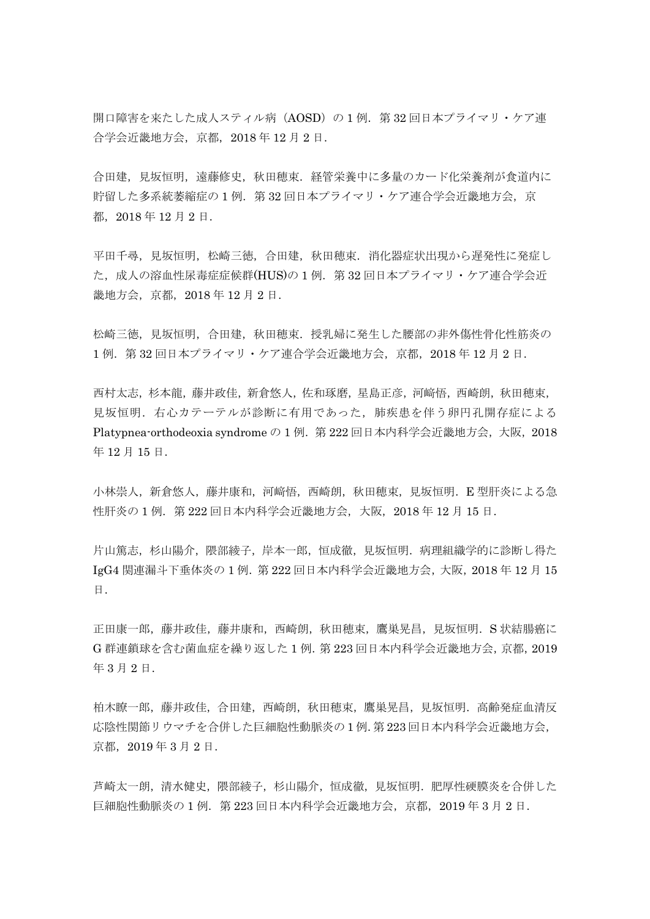開口障害を来たした成人スティル病 (AOSD) の 1 例. 第 32 回日本プライマリ・ケア連 合学会近畿地方会,京都,2018 年 12 月 2 日.

合田建,見坂恒明,遠藤修史,秋田穂束.経管栄養中に多量のカード化栄養剤が食道内に 貯留した多系統萎縮症の1例. 第32回日本プライマリ・ケア連合学会近畿地方会,京 都,2018 年 12 月 2 日.

平田千尋,見坂恒明,松崎三徳,合田建,秋田穂束. 消化器症状出現から遅発性に発症し た,成人の溶血性尿毒症症候群(HUS)の 1例. 第32回日本プライマリ・ケア連合学会近 畿地方会,京都,2018 年 12 月 2 日.

松崎三徳,見坂恒明,合田建,秋田穂束.授乳婦に発生した腰部の非外傷性骨化性筋炎の 1 例.第 32 回日本プライマリ・ケア連合学会近畿地方会,京都,2018 年 12 月 2 日.

西村太志,杉本龍,藤井政佳,新倉悠人,佐和琢磨,星島正彦,河﨑悟,西崎朗,秋田穂束, 見坂恒明.右心カテーテルが診断に有用であった,肺疾患を伴う卵円孔開存症による Platypnea-orthodeoxia syndrome の 1 例. 第 222 回日本内科学会近畿地方会, 大阪, 2018 年 12 月 15 日.

小林崇人,新倉悠人,藤井康和,河﨑悟,西崎朗,秋田穂束,見坂恒明. E 型肝炎による急 性肝炎の 1例. 第 222 回日本内科学会近畿地方会,大阪, 2018年12月15日.

片山篤志,杉山陽介,隈部綾子,岸本一郎,恒成徹,見坂恒明.病理組織学的に診断し得た IgG4 関連漏斗下垂体炎の 1 例.第 222 回日本内科学会近畿地方会,大阪,2018 年 12 月 15 日.

正田康一郎,藤井政佳,藤井康和,西崎朗,秋田穂束,鷹巣晃昌,見坂恒明.S 状結腸癌に G 群連鎖球を含む菌血症を繰り返した 1 例.第 223 回日本内科学会近畿地方会,京都,2019 年 3 月 2 日.

柏木瞭一郎,藤井政佳,合田建,西崎朗,秋田穂束,鷹巣晃昌,見坂恒明.高齢発症血清反 応陰性関節リウマチを合併した巨細胞性動脈炎の 1 例.第 223 回日本内科学会近畿地方会, 京都,2019 年 3 月 2 日.

芦崎太一朗,清水健史,隈部綾子,杉山陽介,恒成徹,見坂恒明.肥厚性硬膜炎を合併した 巨細胞性動脈炎の 1 例. 第 223 回日本内科学会近畿地方会, 京都, 2019 年 3 月 2 日.